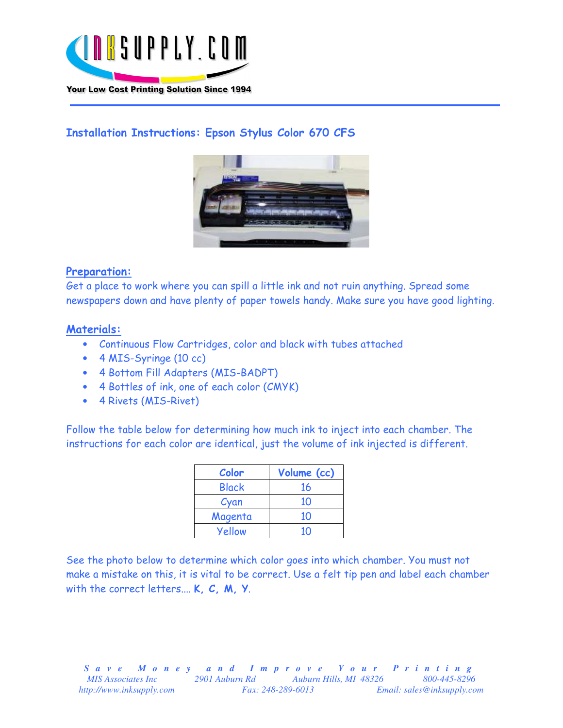

# Installation Instructions: Epson Stylus Color 670 CFS



# Preparation:

Get a place to work where you can spill a little ink and not ruin anything. Spread some newspapers down and have plenty of paper towels handy. Make sure you have good lighting.

### Materials:

- Continuous Flow Cartridges, color and black with tubes attached
- 4 MIS-Syringe (10 cc)
- 4 Bottom Fill Adapters (MIS-BADPT)
- 4 Bottles of ink, one of each color (CMYK)
- 4 Rivets (MIS-Rivet)

Follow the table below for determining how much ink to inject into each chamber. The instructions for each color are identical, just the volume of ink injected is different.

| Color        | Volume (cc) |
|--------------|-------------|
| <b>Black</b> | 16          |
| Cyan         | 10          |
| Magenta      | 10          |
| Yellow       | 10          |

See the photo below to determine which color goes into which chamber. You must not make a mistake on this, it is vital to be correct. Use a felt tip pen and label each chamber with the correct letters.... K, C, M, Y.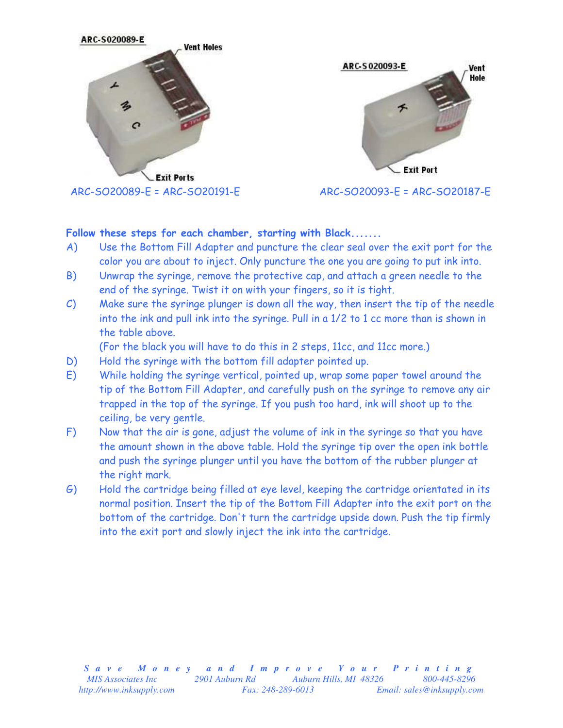



 $ARC-SO20093-E = ARC-SO20187-E$ 

# Follow these steps for each chamber, starting with Black.......

- A) Use the Bottom Fill Adapter and puncture the clear seal over the exit port for the color you are about to inject. Only puncture the one you are going to put ink into.
- B) Unwrap the syringe, remove the protective cap, and attach a green needle to the end of the syringe. Twist it on with your fingers, so it is tight.
- C) Make sure the syringe plunger is down all the way, then insert the tip of the needle into the ink and pull ink into the syringe. Pull in a 1/2 to 1 cc more than is shown in the table above.

(For the black you will have to do this in 2 steps, 11cc, and 11cc more.)

- D) Hold the syringe with the bottom fill adapter pointed up.
- E) While holding the syringe vertical, pointed up, wrap some paper towel around the tip of the Bottom Fill Adapter, and carefully push on the syringe to remove any air trapped in the top of the syringe. If you push too hard, ink will shoot up to the ceiling, be very gentle.
- F) Now that the air is gone, adjust the volume of ink in the syringe so that you have the amount shown in the above table. Hold the syringe tip over the open ink bottle and push the syringe plunger until you have the bottom of the rubber plunger at the right mark.
- G) Hold the cartridge being filled at eye level, keeping the cartridge orientated in its normal position. Insert the tip of the Bottom Fill Adapter into the exit port on the bottom of the cartridge. Don't turn the cartridge upside down. Push the tip firmly into the exit port and slowly inject the ink into the cartridge.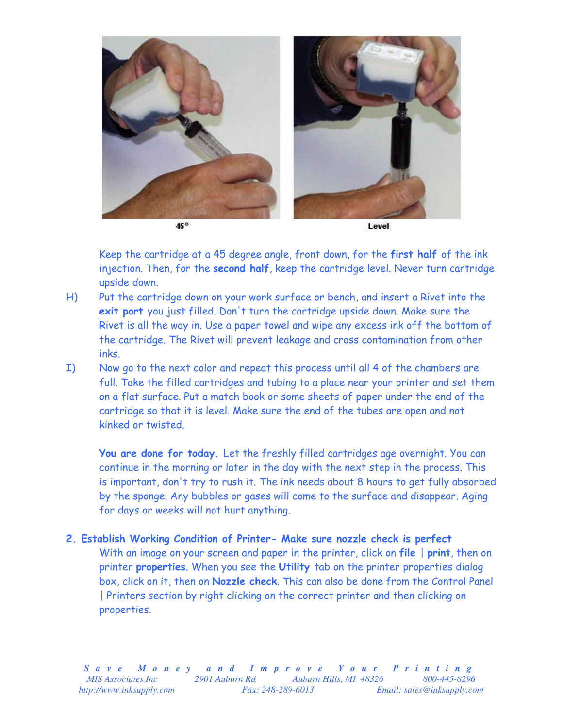

Keep the cartridge at a 45 degree angle, front down, for the first half of the ink injection. Then, for the second half, keep the cartridge level. Never turn cartridge upside down.

- H) Put the cartridge down on your work surface or bench, and insert a Rivet into the exit port you just filled. Don't turn the cartridge upside down. Make sure the Rivet is all the way in. Use a paper towel and wipe any excess ink off the bottom of the cartridge. The Rivet will prevent leakage and cross contamination from other inks.
- I) Now go to the next color and repeat this process until all 4 of the chambers are full. Take the filled cartridges and tubing to a place near your printer and set them on a flat surface. Put a match book or some sheets of paper under the end of the cartridge so that it is level. Make sure the end of the tubes are open and not kinked or twisted.

You are done for today. Let the freshly filled cartridges age overnight. You can continue in the morning or later in the day with the next step in the process. This is important, don't try to rush it. The ink needs about 8 hours to get fully absorbed by the sponge. Any bubbles or gases will come to the surface and disappear. Aging for days or weeks will not hurt anything.

2. Establish Working Condition of Printer- Make sure nozzle check is perfect With an image on your screen and paper in the printer, click on file | print, then on printer properties. When you see the Utility tab on the printer properties dialog box, click on it, then on Nozzle check. This can also be done from the Control Panel | Printers section by right clicking on the correct printer and then clicking on properties.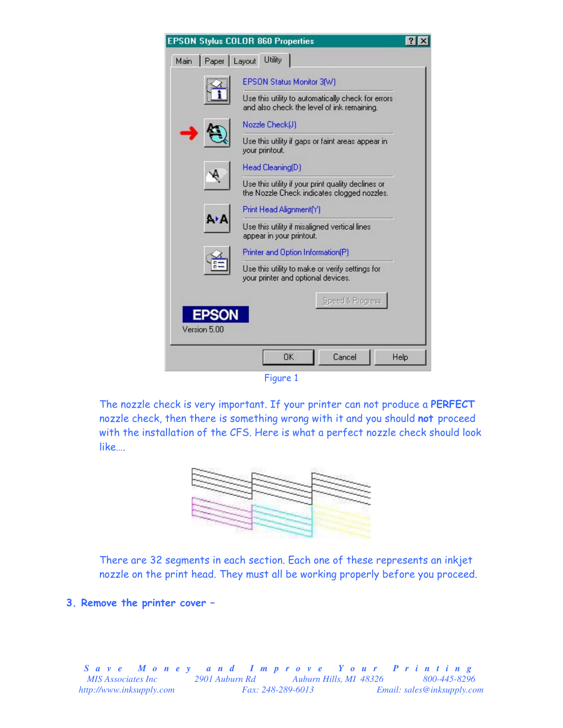|                        | <b>EPSON Stylus COLOR 860 Properties</b>                                                          |      |
|------------------------|---------------------------------------------------------------------------------------------------|------|
| Paper   Layout<br>Main | Utility                                                                                           |      |
|                        | EPSON Status Monitor 3(W)                                                                         |      |
|                        | Use this utility to automatically check for errors.<br>and also check the level of ink remaining. |      |
|                        | Nozzle Check(J)                                                                                   |      |
|                        | Use this utility if gaps or faint areas appear in<br>your printout.                               |      |
|                        | Head Cleaning(D)                                                                                  |      |
|                        | Use this utility if your print quality declines or<br>the Nozzle Check indicates clogged nozzles. |      |
|                        | Print Head Alignment(Y)                                                                           |      |
| ΑŁΑ                    | Use this utility if misaligned vertical lines<br>appear in your printout.                         |      |
|                        | Printer and Option Information(P)                                                                 |      |
|                        | Use this utility to make or verify settings for<br>your printer and optional devices.             |      |
|                        | Speed & Progress                                                                                  |      |
|                        |                                                                                                   |      |
| Version 5.00           |                                                                                                   |      |
|                        | OK<br>Cancel                                                                                      | Help |
|                        |                                                                                                   |      |



The nozzle check is very important. If your printer can not produce a PERFECT nozzle check, then there is something wrong with it and you should not proceed with the installation of the CFS. Here is what a perfect nozzle check should look like….



There are 32 segments in each section. Each one of these represents an inkjet nozzle on the print head. They must all be working properly before you proceed.

3. Remove the printer cover –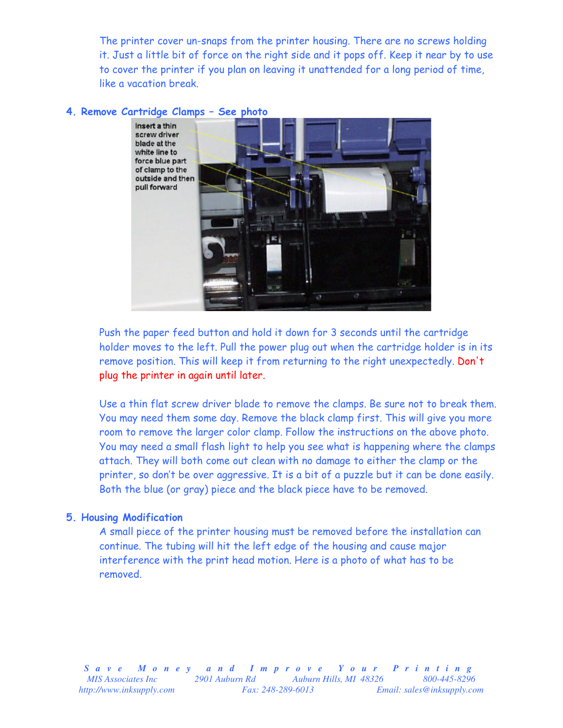The printer cover un-snaps from the printer housing. There are no screws holding it. Just a little bit of force on the right side and it pops off. Keep it near by to use to cover the printer if you plan on leaving it unattended for a long period of time, like a vacation break.

#### 4. Remove Cartridge Clamps – See photo



Push the paper feed button and hold it down for 3 seconds until the cartridge holder moves to the left. Pull the power plug out when the cartridge holder is in its remove position. This will keep it from returning to the right unexpectedly. Don't plug the printer in again until later.

Use a thin flat screw driver blade to remove the clamps. Be sure not to break them. You may need them some day. Remove the black clamp first. This will give you more room to remove the larger color clamp. Follow the instructions on the above photo. You may need a small flash light to help you see what is happening where the clamps attach. They will both come out clean with no damage to either the clamp or the printer, so don't be over aggressive. It is a bit of a puzzle but it can be done easily. Both the blue (or gray) piece and the black piece have to be removed.

#### 5. Housing Modification

A small piece of the printer housing must be removed before the installation can continue. The tubing will hit the left edge of the housing and cause major interference with the print head motion. Here is a photo of what has to be removed.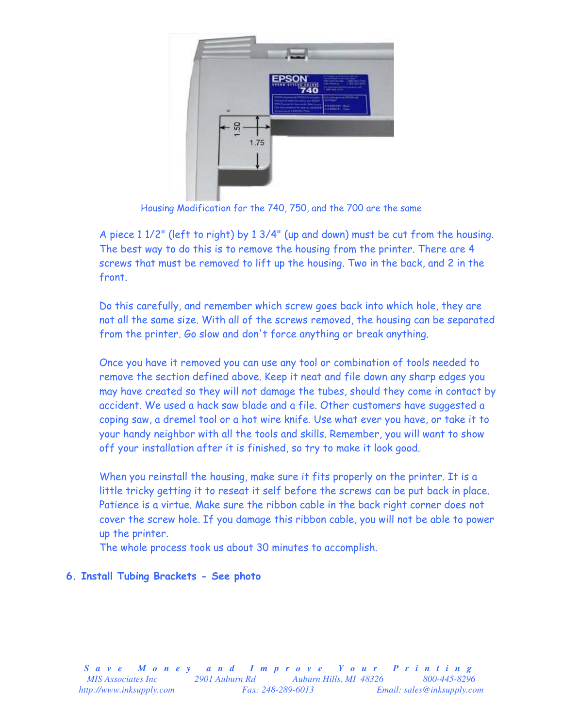

Housing Modification for the 740, 750, and the 700 are the same

A piece 1 1/2" (left to right) by 1 3/4" (up and down) must be cut from the housing. The best way to do this is to remove the housing from the printer. There are 4 screws that must be removed to lift up the housing. Two in the back, and 2 in the front.

Do this carefully, and remember which screw goes back into which hole, they are not all the same size. With all of the screws removed, the housing can be separated from the printer. Go slow and don't force anything or break anything.

Once you have it removed you can use any tool or combination of tools needed to remove the section defined above. Keep it neat and file down any sharp edges you may have created so they will not damage the tubes, should they come in contact by accident. We used a hack saw blade and a file. Other customers have suggested a coping saw, a dremel tool or a hot wire knife. Use what ever you have, or take it to your handy neighbor with all the tools and skills. Remember, you will want to show off your installation after it is finished, so try to make it look good.

When you reinstall the housing, make sure it fits properly on the printer. It is a little tricky getting it to reseat it self before the screws can be put back in place. Patience is a virtue. Make sure the ribbon cable in the back right corner does not cover the screw hole. If you damage this ribbon cable, you will not be able to power up the printer.

The whole process took us about 30 minutes to accomplish.

### 6. Install Tubing Brackets - See photo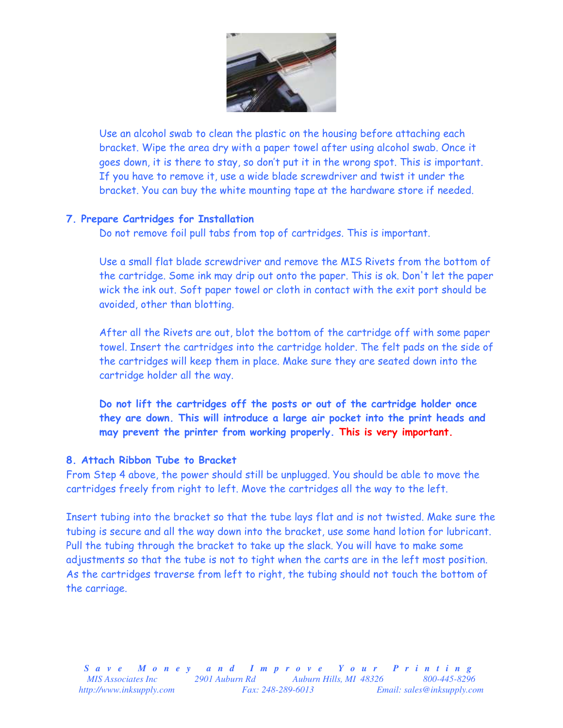

Use an alcohol swab to clean the plastic on the housing before attaching each bracket. Wipe the area dry with a paper towel after using alcohol swab. Once it goes down, it is there to stay, so don't put it in the wrong spot. This is important. If you have to remove it, use a wide blade screwdriver and twist it under the bracket. You can buy the white mounting tape at the hardware store if needed.

### 7. Prepare Cartridges for Installation

Do not remove foil pull tabs from top of cartridges. This is important.

Use a small flat blade screwdriver and remove the MIS Rivets from the bottom of the cartridge. Some ink may drip out onto the paper. This is ok. Don't let the paper wick the ink out. Soft paper towel or cloth in contact with the exit port should be avoided, other than blotting.

After all the Rivets are out, blot the bottom of the cartridge off with some paper towel. Insert the cartridges into the cartridge holder. The felt pads on the side of the cartridges will keep them in place. Make sure they are seated down into the cartridge holder all the way.

Do not lift the cartridges off the posts or out of the cartridge holder once they are down. This will introduce a large air pocket into the print heads and may prevent the printer from working properly. This is very important.

### 8. Attach Ribbon Tube to Bracket

From Step 4 above, the power should still be unplugged. You should be able to move the cartridges freely from right to left. Move the cartridges all the way to the left.

Insert tubing into the bracket so that the tube lays flat and is not twisted. Make sure the tubing is secure and all the way down into the bracket, use some hand lotion for lubricant. Pull the tubing through the bracket to take up the slack. You will have to make some adjustments so that the tube is not to tight when the carts are in the left most position. As the cartridges traverse from left to right, the tubing should not touch the bottom of the carriage.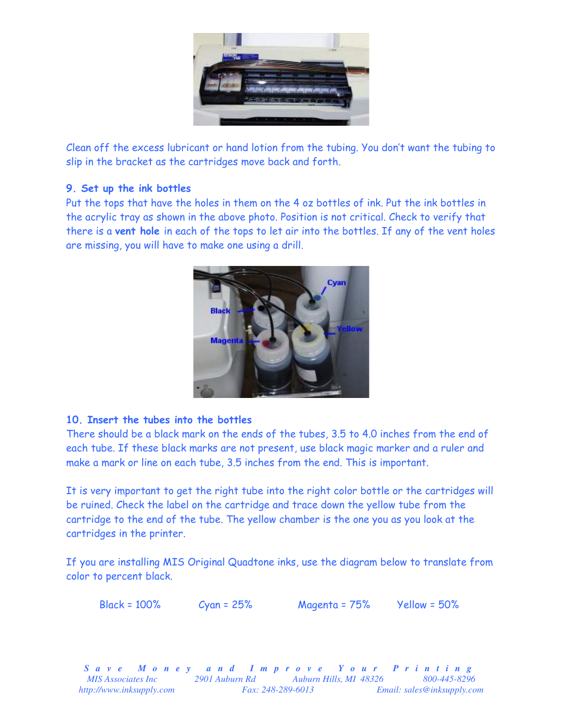

Clean off the excess lubricant or hand lotion from the tubing. You don't want the tubing to slip in the bracket as the cartridges move back and forth.

# 9. Set up the ink bottles

Put the tops that have the holes in them on the 4 oz bottles of ink. Put the ink bottles in the acrylic tray as shown in the above photo. Position is not critical. Check to verify that there is a vent hole in each of the tops to let air into the bottles. If any of the vent holes are missing, you will have to make one using a drill.



### 10. Insert the tubes into the bottles

There should be a black mark on the ends of the tubes, 3.5 to 4.0 inches from the end of each tube. If these black marks are not present, use black magic marker and a ruler and make a mark or line on each tube, 3.5 inches from the end. This is important.

It is very important to get the right tube into the right color bottle or the cartridges will be ruined. Check the label on the cartridge and trace down the yellow tube from the cartridge to the end of the tube. The yellow chamber is the one you as you look at the cartridges in the printer.

If you are installing MIS Original Quadtone inks, use the diagram below to translate from color to percent black.

Black = 100% Cyan = 25% Magenta = 75% Yellow = 50%

*S a v e M o n e y a n d I m p r o v e Y o u r P r i n t i n g MIS Associates Inc* 2901 Auburn Rd Auburn Hills, MI 48326 800-445-8296 *http://www.inksupply.com Fax: 248-289-6013 Email: sales@inksupply.com*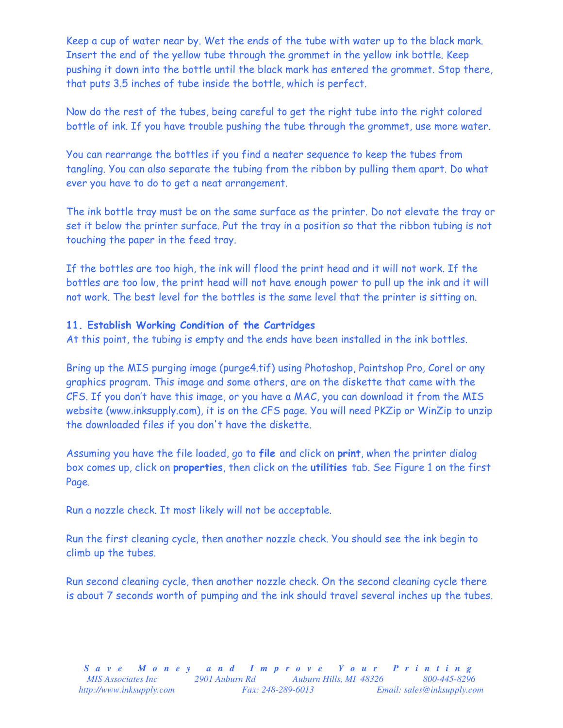Keep a cup of water near by. Wet the ends of the tube with water up to the black mark. Insert the end of the yellow tube through the grommet in the yellow ink bottle. Keep pushing it down into the bottle until the black mark has entered the grommet. Stop there, that puts 3.5 inches of tube inside the bottle, which is perfect.

Now do the rest of the tubes, being careful to get the right tube into the right colored bottle of ink. If you have trouble pushing the tube through the grommet, use more water.

You can rearrange the bottles if you find a neater sequence to keep the tubes from tangling. You can also separate the tubing from the ribbon by pulling them apart. Do what ever you have to do to get a neat arrangement.

The ink bottle tray must be on the same surface as the printer. Do not elevate the tray or set it below the printer surface. Put the tray in a position so that the ribbon tubing is not touching the paper in the feed tray.

If the bottles are too high, the ink will flood the print head and it will not work. If the bottles are too low, the print head will not have enough power to pull up the ink and it will not work. The best level for the bottles is the same level that the printer is sitting on.

### 11. Establish Working Condition of the Cartridges

At this point, the tubing is empty and the ends have been installed in the ink bottles.

Bring up the MIS purging image (purge4.tif) using Photoshop, Paintshop Pro, Corel or any graphics program. This image and some others, are on the diskette that came with the CFS. If you don't have this image, or you have a MAC, you can download it from the MIS website (www.inksupply.com), it is on the CFS page. You will need PKZip or WinZip to unzip the downloaded files if you don't have the diskette.

Assuming you have the file loaded, go to file and click on print, when the printer dialog box comes up, click on properties, then click on the utilities tab. See Figure 1 on the first Page.

Run a nozzle check. It most likely will not be acceptable.

Run the first cleaning cycle, then another nozzle check. You should see the ink begin to climb up the tubes.

Run second cleaning cycle, then another nozzle check. On the second cleaning cycle there is about 7 seconds worth of pumping and the ink should travel several inches up the tubes.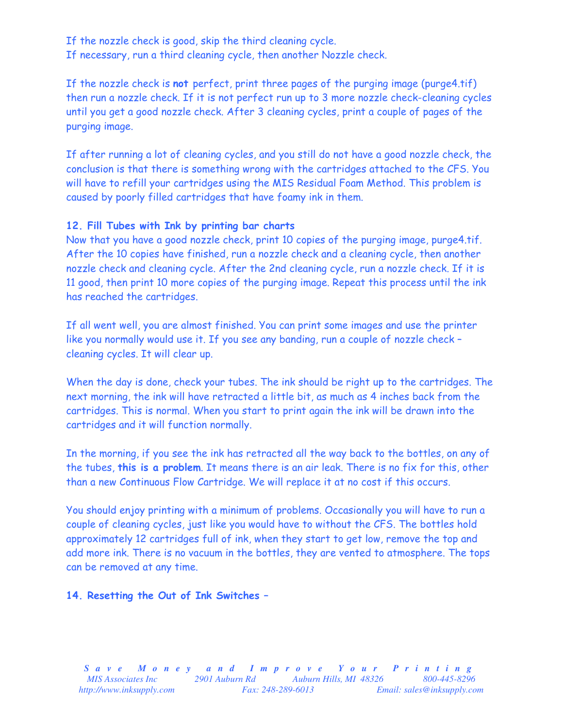If the nozzle check is good, skip the third cleaning cycle. If necessary, run a third cleaning cycle, then another Nozzle check.

If the nozzle check is not perfect, print three pages of the purging image (purge4.tif) then run a nozzle check. If it is not perfect run up to 3 more nozzle check-cleaning cycles until you get a good nozzle check. After 3 cleaning cycles, print a couple of pages of the purging image.

If after running a lot of cleaning cycles, and you still do not have a good nozzle check, the conclusion is that there is something wrong with the cartridges attached to the CFS. You will have to refill your cartridges using the MIS Residual Foam Method. This problem is caused by poorly filled cartridges that have foamy ink in them.

# 12. Fill Tubes with Ink by printing bar charts

Now that you have a good nozzle check, print 10 copies of the purging image, purge4.tif. After the 10 copies have finished, run a nozzle check and a cleaning cycle, then another nozzle check and cleaning cycle. After the 2nd cleaning cycle, run a nozzle check. If it is 11 good, then print 10 more copies of the purging image. Repeat this process until the ink has reached the cartridges.

If all went well, you are almost finished. You can print some images and use the printer like you normally would use it. If you see any banding, run a couple of nozzle check – cleaning cycles. It will clear up.

When the day is done, check your tubes. The ink should be right up to the cartridges. The next morning, the ink will have retracted a little bit, as much as 4 inches back from the cartridges. This is normal. When you start to print again the ink will be drawn into the cartridges and it will function normally.

In the morning, if you see the ink has retracted all the way back to the bottles, on any of the tubes, this is a problem. It means there is an air leak. There is no fix for this, other than a new Continuous Flow Cartridge. We will replace it at no cost if this occurs.

You should enjoy printing with a minimum of problems. Occasionally you will have to run a couple of cleaning cycles, just like you would have to without the CFS. The bottles hold approximately 12 cartridges full of ink, when they start to get low, remove the top and add more ink. There is no vacuum in the bottles, they are vented to atmosphere. The tops can be removed at any time.

### 14. Resetting the Out of Ink Switches –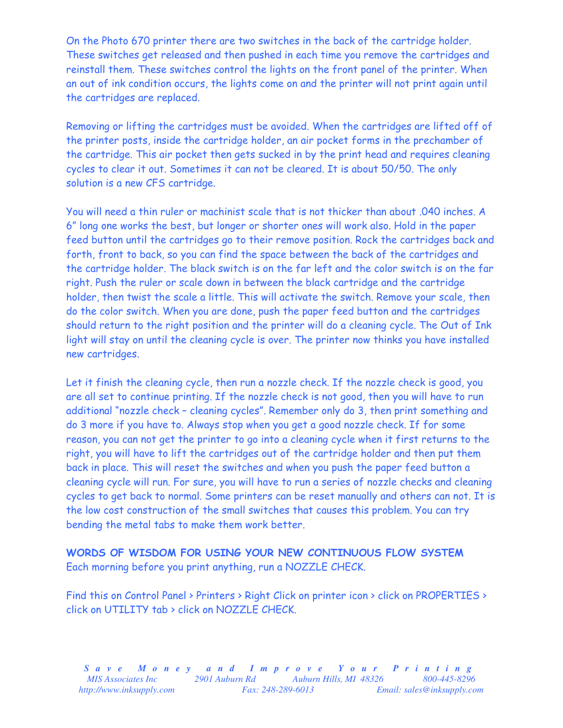On the Photo 670 printer there are two switches in the back of the cartridge holder. These switches get released and then pushed in each time you remove the cartridges and reinstall them. These switches control the lights on the front panel of the printer. When an out of ink condition occurs, the lights come on and the printer will not print again until the cartridges are replaced.

Removing or lifting the cartridges must be avoided. When the cartridges are lifted off of the printer posts, inside the cartridge holder, an air pocket forms in the prechamber of the cartridge. This air pocket then gets sucked in by the print head and requires cleaning cycles to clear it out. Sometimes it can not be cleared. It is about 50/50. The only solution is a new CFS cartridge.

You will need a thin ruler or machinist scale that is not thicker than about .040 inches. A 6" long one works the best, but longer or shorter ones will work also. Hold in the paper feed button until the cartridges go to their remove position. Rock the cartridges back and forth, front to back, so you can find the space between the back of the cartridges and the cartridge holder. The black switch is on the far left and the color switch is on the far right. Push the ruler or scale down in between the black cartridge and the cartridge holder, then twist the scale a little. This will activate the switch. Remove your scale, then do the color switch. When you are done, push the paper feed button and the cartridges should return to the right position and the printer will do a cleaning cycle. The Out of Ink light will stay on until the cleaning cycle is over. The printer now thinks you have installed new cartridges.

Let it finish the cleaning cycle, then run a nozzle check. If the nozzle check is good, you are all set to continue printing. If the nozzle check is not good, then you will have to run additional "nozzle check – cleaning cycles". Remember only do 3, then print something and do 3 more if you have to. Always stop when you get a good nozzle check. If for some reason, you can not get the printer to go into a cleaning cycle when it first returns to the right, you will have to lift the cartridges out of the cartridge holder and then put them back in place. This will reset the switches and when you push the paper feed button a cleaning cycle will run. For sure, you will have to run a series of nozzle checks and cleaning cycles to get back to normal. Some printers can be reset manually and others can not. It is the low cost construction of the small switches that causes this problem. You can try bending the metal tabs to make them work better.

WORDS OF WISDOM FOR USING YOUR NEW CONTINUOUS FLOW SYSTEM Each morning before you print anything, run a NOZZLE CHECK.

Find this on Control Panel > Printers > Right Click on printer icon > click on PROPERTIES > click on UTILITY tab > click on NOZZLE CHECK.